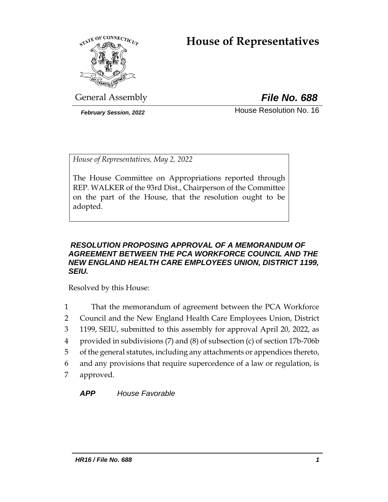# **House of Representatives**



General Assembly *File No. 688*

*February Session, 2022* House Resolution No. 16

*House of Representatives, May 2, 2022*

The House Committee on Appropriations reported through REP. WALKER of the 93rd Dist., Chairperson of the Committee on the part of the House, that the resolution ought to be adopted.

## *RESOLUTION PROPOSING APPROVAL OF A MEMORANDUM OF AGREEMENT BETWEEN THE PCA WORKFORCE COUNCIL AND THE NEW ENGLAND HEALTH CARE EMPLOYEES UNION, DISTRICT 1199, SEIU.*

Resolved by this House:

- 1 That the memorandum of agreement between the PCA Workforce
- 2 Council and the New England Health Care Employees Union, District
- 3 1199, SEIU, submitted to this assembly for approval April 20, 2022, as
- 4 provided in subdivisions (7) and (8) of subsection (c) of section 17b-706b
- 5 of the general statutes, including any attachments or appendices thereto,
- 6 and any provisions that require supercedence of a law or regulation, is
- 7 approved.

*APP House Favorable*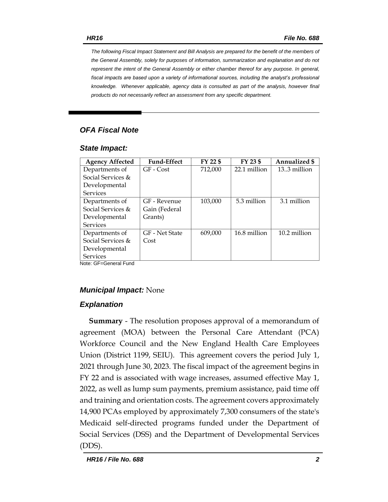*The following Fiscal Impact Statement and Bill Analysis are prepared for the benefit of the members of the General Assembly, solely for purposes of information, summarization and explanation and do not represent the intent of the General Assembly or either chamber thereof for any purpose. In general,*  fiscal impacts are based upon a variety of informational sources, including the analyst's professional *knowledge. Whenever applicable, agency data is consulted as part of the analysis, however final products do not necessarily reflect an assessment from any specific department.*

## *OFA Fiscal Note*

#### *State Impact:*

| <b>Agency Affected</b> | <b>Fund-Effect</b> | FY 22 \$ | FY 23 \$     | Annualized \$ |
|------------------------|--------------------|----------|--------------|---------------|
| Departments of         | GF - Cost          | 712,000  | 22.1 million | 13.3 million  |
| Social Services $\&$   |                    |          |              |               |
| Developmental          |                    |          |              |               |
| <b>Services</b>        |                    |          |              |               |
| Departments of         | GF - Revenue       | 103,000  | 5.3 million  | 3.1 million   |
| Social Services $\&$   | Gain (Federal      |          |              |               |
| Developmental          | Grants)            |          |              |               |
| <b>Services</b>        |                    |          |              |               |
| Departments of         | GF - Net State     | 609.000  | 16.8 million | 10.2 million  |
| Social Services &      | Cost               |          |              |               |
| Developmental          |                    |          |              |               |
| <b>Services</b>        |                    |          |              |               |

Note: GF=General Fund

## *Municipal Impact:* None

## *Explanation*

**Summary** - The resolution proposes approval of a memorandum of agreement (MOA) between the Personal Care Attendant (PCA) Workforce Council and the New England Health Care Employees Union (District 1199, SEIU). This agreement covers the period July 1, 2021 through June 30, 2023. The fiscal impact of the agreement begins in FY 22 and is associated with wage increases, assumed effective May 1, 2022, as well as lump sum payments, premium assistance, paid time off and training and orientation costs. The agreement covers approximately 14,900 PCAs employed by approximately 7,300 consumers of the state's Medicaid self-directed programs funded under the Department of Social Services (DSS) and the Department of Developmental Services (DDS).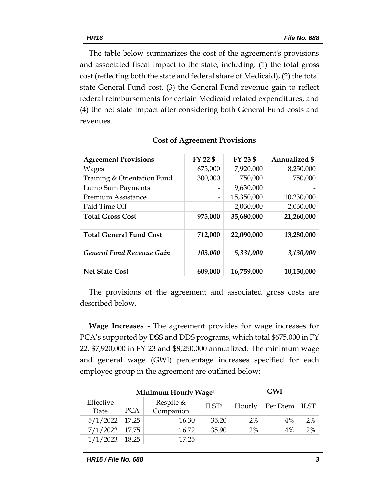The table below summarizes the cost of the agreement's provisions and associated fiscal impact to the state, including: (1) the total gross cost (reflecting both the state and federal share of Medicaid), (2) the total state General Fund cost, (3) the General Fund revenue gain to reflect federal reimbursements for certain Medicaid related expenditures, and (4) the net state impact after considering both General Fund costs and revenues.

| <b>Agreement Provisions</b>      | FY 22 \$ | FY 23 \$   | <b>Annualized \$</b> |
|----------------------------------|----------|------------|----------------------|
| <b>Wages</b>                     | 675,000  | 7,920,000  | 8,250,000            |
| Training & Orientation Fund      | 300,000  | 750,000    | 750,000              |
| Lump Sum Payments                |          | 9,630,000  |                      |
| <b>Premium Assistance</b>        | -        | 15,350,000 | 10,230,000           |
| Paid Time Off                    |          | 2,030,000  | 2,030,000            |
| <b>Total Gross Cost</b>          | 975,000  | 35,680,000 | 21,260,000           |
|                                  |          |            |                      |
| <b>Total General Fund Cost</b>   | 712,000  | 22,090,000 | 13,280,000           |
|                                  |          |            |                      |
| <b>General Fund Revenue Gain</b> | 103,000  | 5,331,000  | 3,130,000            |
|                                  |          |            |                      |
| <b>Net State Cost</b>            | 609,000  | 16,759,000 | 10,150,000           |

The provisions of the agreement and associated gross costs are described below.

**Wage Increases** - The agreement provides for wage increases for PCA's supported by DSS and DDS programs, which total \$675,000 in FY 22, \$7,920,000 in FY 23 and \$8,250,000 annualized. The minimum wage and general wage (GWI) percentage increases specified for each employee group in the agreement are outlined below:

|                   |            | Minimum Hourly Wage <sup>1</sup> |                          | <b>GWI</b>               |                          |      |
|-------------------|------------|----------------------------------|--------------------------|--------------------------|--------------------------|------|
| Effective<br>Date | <b>PCA</b> | Respite $&$<br>Companion         | ILST <sup>2</sup>        | Hourly                   | Per Diem                 | ILST |
| 5/1/2022          | 17.25      | 16.30                            | 35.20                    | 2%                       | 4%                       | 2%   |
| 7/1/2022          | 17.75      | 16.72                            | 35.90                    | 2%                       | 4%                       | 2%   |
| 1/1/2023          | 18.25      | 17.25                            | $\overline{\phantom{0}}$ | $\overline{\phantom{0}}$ | $\overline{\phantom{0}}$ |      |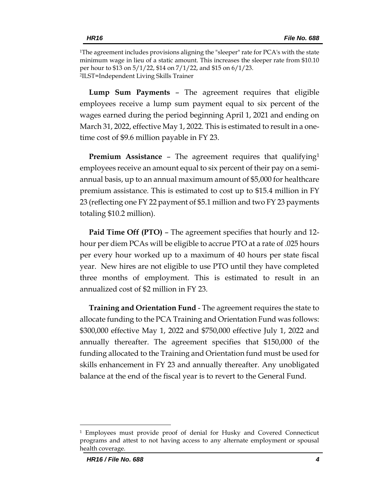<sup>1</sup>The agreement includes provisions aligning the "sleeper" rate for PCA's with the state minimum wage in lieu of a static amount. This increases the sleeper rate from \$10.10 per hour to \$13 on 5/1/22, \$14 on 7/1/22, and \$15 on 6/1/23. 2 ILST=Independent Living Skills Trainer

**Lump Sum Payments** – The agreement requires that eligible employees receive a lump sum payment equal to six percent of the wages earned during the period beginning April 1, 2021 and ending on March 31, 2022, effective May 1, 2022. This is estimated to result in a onetime cost of \$9.6 million payable in FY 23.

**Premium Assistance** – The agreement requires that qualifying<sup>1</sup> employees receive an amount equal to six percent of their pay on a semiannual basis, up to an annual maximum amount of \$5,000 for healthcare premium assistance. This is estimated to cost up to \$15.4 million in FY 23 (reflecting one FY 22 payment of \$5.1 million and two FY 23 payments totaling \$10.2 million).

**Paid Time Off (PTO)** – The agreement specifies that hourly and 12 hour per diem PCAs will be eligible to accrue PTO at a rate of .025 hours per every hour worked up to a maximum of 40 hours per state fiscal year. New hires are not eligible to use PTO until they have completed three months of employment. This is estimated to result in an annualized cost of \$2 million in FY 23.

**Training and Orientation Fund** - The agreement requires the state to allocate funding to the PCA Training and Orientation Fund was follows: \$300,000 effective May 1, 2022 and \$750,000 effective July 1, 2022 and annually thereafter. The agreement specifies that \$150,000 of the funding allocated to the Training and Orientation fund must be used for skills enhancement in FY 23 and annually thereafter. Any unobligated balance at the end of the fiscal year is to revert to the General Fund.

<sup>1</sup> Employees must provide proof of denial for Husky and Covered Connecticut programs and attest to not having access to any alternate employment or spousal health coverage.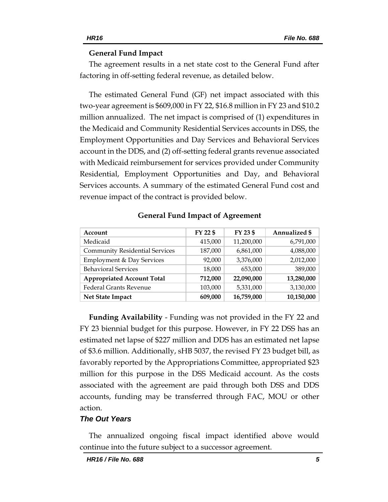#### **General Fund Impact**

The agreement results in a net state cost to the General Fund after factoring in off-setting federal revenue, as detailed below.

The estimated General Fund (GF) net impact associated with this two-year agreement is \$609,000 in FY 22, \$16.8 million in FY 23 and \$10.2 million annualized. The net impact is comprised of (1) expenditures in the Medicaid and Community Residential Services accounts in DSS, the Employment Opportunities and Day Services and Behavioral Services account in the DDS, and (2) off-setting federal grants revenue associated with Medicaid reimbursement for services provided under Community Residential, Employment Opportunities and Day, and Behavioral Services accounts. A summary of the estimated General Fund cost and revenue impact of the contract is provided below.

| Account                               | FY 22 \$ | FY 23 \$   | Annualized \$ |
|---------------------------------------|----------|------------|---------------|
| Medicaid                              | 415,000  | 11,200,000 | 6,791,000     |
| <b>Community Residential Services</b> | 187,000  | 6,861,000  | 4,088,000     |
| Employment & Day Services             | 92,000   | 3,376,000  | 2,012,000     |
| <b>Behavioral Services</b>            | 18,000   | 653,000    | 389,000       |
| <b>Appropriated Account Total</b>     | 712,000  | 22,090,000 | 13,280,000    |
| <b>Federal Grants Revenue</b>         | 103,000  | 5,331,000  | 3,130,000     |
| Net State Impact                      | 609,000  | 16,759,000 | 10,150,000    |

#### **General Fund Impact of Agreement**

**Funding Availability** - Funding was not provided in the FY 22 and FY 23 biennial budget for this purpose. However, in FY 22 DSS has an estimated net lapse of \$227 million and DDS has an estimated net lapse of \$3.6 million. Additionally, sHB 5037, the revised FY 23 budget bill, as favorably reported by the Appropriations Committee, appropriated \$23 million for this purpose in the DSS Medicaid account. As the costs associated with the agreement are paid through both DSS and DDS accounts, funding may be transferred through FAC, MOU or other action.

#### *The Out Years*

The annualized ongoing fiscal impact identified above would continue into the future subject to a successor agreement.